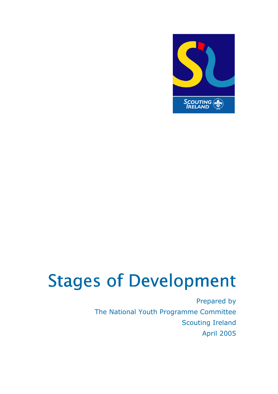

# Stages of Development

Prepared by The National Youth Programme Committee Scouting Ireland April 2005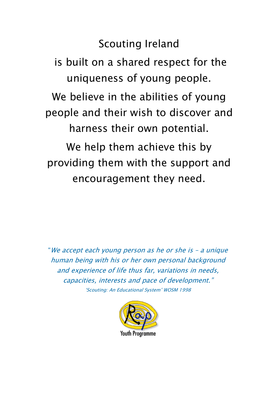## Scouting Ireland

 is built on a shared respect for the uniqueness of young people. We believe in the abilities of young people and their wish to discover and harness their own potential.

We help them achieve this by providing them with the support and encouragement they need.

"We accept each young person as he or she is – a unique human being with his or her own personal background and experience of life thus far, variations in needs, capacities, interests and pace of development." 'Scouting: An Educational System' WOSM 1998

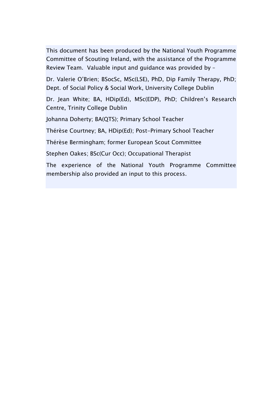This document has been produced by the National Youth Programme Committee of Scouting Ireland, with the assistance of the Programme Review Team. Valuable input and guidance was provided by –

Dr. Valerie O'Brien; BSocSc, MSc(LSE), PhD, Dip Family Therapy, PhD; Dept. of Social Policy & Social Work, University College Dublin

Dr. Jean White; BA, HDip(Ed), MSc(EDP), PhD; Children's Research Centre, Trinity College Dublin

Johanna Doherty; BA(QTS); Primary School Teacher

Thérèse Courtney; BA, HDip(Ed); Post-Primary School Teacher

Thérèse Bermingham; former European Scout Committee

Stephen Oakes; BSc(Cur Occ); Occupational Therapist

The experience of the National Youth Programme Committee membership also provided an input to this process.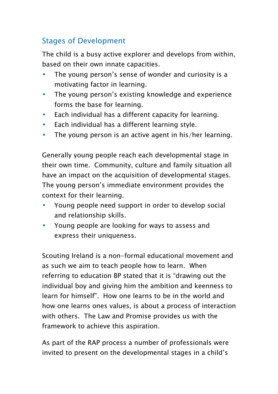## Stages of Development

The child is a busy active explorer and develops from within, based on their own innate capacities.

- The young person's sense of wonder and curiosity is a motivating factor in learning.
- The young person's existing knowledge and experience forms the base for learning.
- Each individual has a different capacity for learning.
- Each individual has a different learning style.
- The young person is an active agent in his/her learning.

Generally young people reach each developmental stage in their own time. Community, culture and family situation all have an impact on the acquisition of developmental stages. The young person's immediate environment provides the context for their learning.

- Young people need support in order to develop social and relationship skills.
- Young people are looking for ways to assess and express their uniqueness.

Scouting Ireland is a non-formal educational movement and as such we aim to teach people how to learn. When referring to education BP stated that it is "drawing out the individual boy and giving him the ambition and keenness to learn for himself". How one learns to be in the world and how one learns ones values, is about a process of interaction with others. The Law and Promise provides us with the framework to achieve this aspiration.

As part of the RAP process a number of professionals were invited to present on the developmental stages in a child's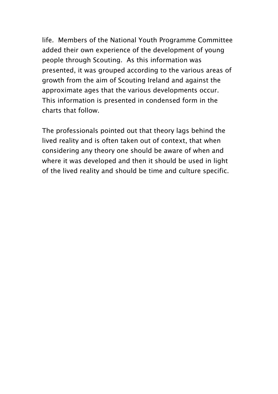life. Members of the National Youth Programme Committee added their own experience of the development of young people through Scouting. As this information was presented, it was grouped according to the various areas of growth from the aim of Scouting Ireland and against the approximate ages that the various developments occur. This information is presented in condensed form in the charts that follow.

The professionals pointed out that theory lags behind the lived reality and is often taken out of context, that when considering any theory one should be aware of when and where it was developed and then it should be used in light of the lived reality and should be time and culture specific.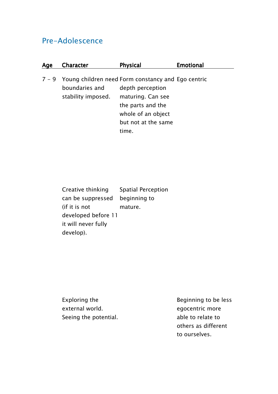## Pre-Adolescence

| Age | Character                                                                                          | <b>Physical</b>                                                                                         | <b>Emotional</b> |
|-----|----------------------------------------------------------------------------------------------------|---------------------------------------------------------------------------------------------------------|------------------|
|     | $7 - 9$ Young children need Form constancy and Ego centric<br>boundaries and<br>stability imposed. | depth perception<br>maturing. Can see<br>the parts and the<br>whole of an object<br>but not at the same |                  |
|     |                                                                                                    | ime.                                                                                                    |                  |

| Creative thinking   | <b>Spatial Perception</b> |
|---------------------|---------------------------|
| can be suppressed   | beginning to              |
| (if it is not       | mature.                   |
| developed before 11 |                           |
| it will never fully |                           |
| develop).           |                           |

Exploring the external world. Seeing the potential.

 Beginning to be less egocentric more able to relate to others as different to ourselves.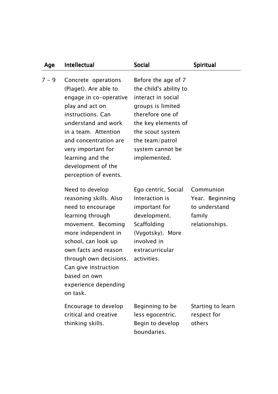| Age     | Intellectual                                                                                                                                                                                                                                                                         | <b>Social</b>                                                                                                                                                                                                  | Spiritual                                                                 |
|---------|--------------------------------------------------------------------------------------------------------------------------------------------------------------------------------------------------------------------------------------------------------------------------------------|----------------------------------------------------------------------------------------------------------------------------------------------------------------------------------------------------------------|---------------------------------------------------------------------------|
| $7 - 9$ | Concrete operations<br>(Piaget). Are able to<br>engage in co-operative<br>play and act on<br>instructions. Can<br>understand and work<br>in a team. Attention<br>and concentration are<br>very important for<br>learning and the<br>development of the<br>perception of events.      | Before the age of 7<br>the child's ability to<br>interact in social<br>groups is limited<br>therefore one of<br>the key elements of<br>the scout system<br>the team/patrol<br>system cannot be<br>implemented. |                                                                           |
|         | Need to develop<br>reasoning skills. Also<br>need to encourage<br>learning through<br>movement. Becoming<br>more independent in<br>school, can look up<br>own facts and reason<br>through own decisions.<br>Can give instruction<br>based on own<br>experience depending<br>on task. | Ego centric, Social<br>Interaction is<br>important for<br>development.<br>Scaffolding<br>(Vygotsky). More<br>involved in<br>extracurricular<br>activities.                                                     | Communion<br>Year. Beginning<br>to understand<br>family<br>relationships. |
|         | Encourage to develop<br>critical and creative<br>thinking skills.                                                                                                                                                                                                                    | Beginning to be<br>less egocentric.<br>Begin to develop                                                                                                                                                        | Starting to learn<br>respect for<br>others                                |

boundaries.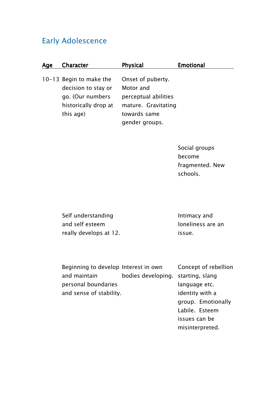### Early Adolescence

| Age | <b>Character</b>                                                                                        | <b>Physical</b>                                                                               | <b>Emotional</b> |
|-----|---------------------------------------------------------------------------------------------------------|-----------------------------------------------------------------------------------------------|------------------|
|     | 10-13 Begin to make the<br>decision to stay or<br>go. (Our numbers<br>historically drop at<br>this age) | Onset of puberty.<br>Motor and<br>perceptual abilities<br>mature. Gravitating<br>towards same |                  |
|     |                                                                                                         | gender groups.                                                                                |                  |

 Social groups become fragmented. New schools.

Self understanding and self esteem really develops at 12.

 Intimacy and loneliness are an issue.

Beginning to develop Interest in own and maintain personal boundaries and sense of stability. bodies developing. starting, slang

Concept of rebellion language etc. identity with a group. Emotionally Labile. Esteem issues can be misinterpreted.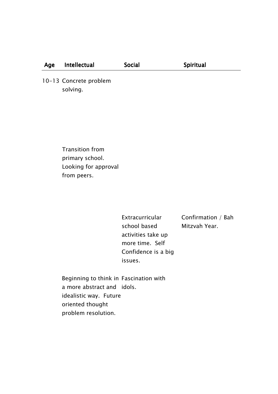#### Age Intellectual Social Spiritual

10-13 Concrete problem solving.

> Transition from primary school. Looking for approval from peers.

> > **Extracurricular** school based activities take up more time. Self Confidence is a big issues.

Confirmation / Bah Mitzvah Year.

Beginning to think in Fascination with a more abstract and idols. idealistic way. Future oriented thought problem resolution.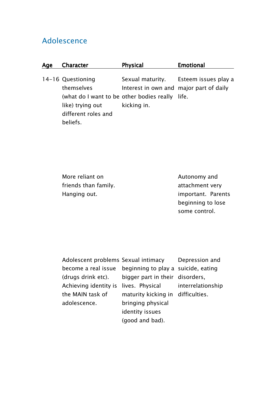## Adolescence

| Age | Character                                                                                                                                 | <b>Physical</b>                                        | <b>Emotional</b>                      |
|-----|-------------------------------------------------------------------------------------------------------------------------------------------|--------------------------------------------------------|---------------------------------------|
|     | 14-16 Questioning<br>themselves<br>(what do I want to be other bodies really life.<br>like) trying out<br>different roles and<br>beliefs. | Interest in own and major part of daily<br>kicking in. | Sexual maturity. Esteem issues play a |

More reliant on friends than family. Hanging out.

 Autonomy and attachment very important. Parents beginning to lose some control.

| Adolescent problems Sexual intimacy Depression        |                                   |  |
|-------------------------------------------------------|-----------------------------------|--|
| become a real issue beginning to play a suicide, eati |                                   |  |
| (drugs drink etc). bigger part in their disorders,    |                                   |  |
| Achieving identity is lives. Physical interrelatior   |                                   |  |
| the MAIN task of                                      | maturity kicking in difficulties. |  |
| adolescence.                                          | bringing physical                 |  |
|                                                       | identity issues                   |  |
|                                                       | (good and bad).                   |  |

beginning to play a suicide, eating Depression and interrelationship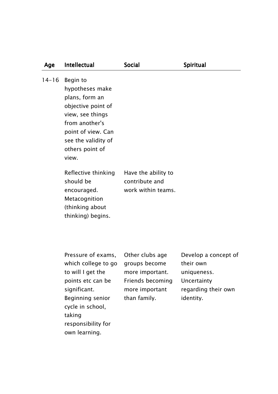| Age       | Intellectual                                                                                                                                                                                                                 | <b>Social</b>                                                       | Spiritual                                                                                           |
|-----------|------------------------------------------------------------------------------------------------------------------------------------------------------------------------------------------------------------------------------|---------------------------------------------------------------------|-----------------------------------------------------------------------------------------------------|
| $14 - 16$ | Begin to<br>hypotheses make<br>plans, form an<br>objective point of<br>view, see things<br>from another's<br>point of view. Can<br>see the validity of<br>others point of<br>view.                                           |                                                                     |                                                                                                     |
|           | Reflective thinking<br>should be<br>encouraged.<br>Metacognition<br>(thinking about<br>thinking) begins.                                                                                                                     | Have the ability to<br>contribute and<br>work within teams.         |                                                                                                     |
|           | Pressure of exams, Other clubs age<br>which college to go<br>to will I get the more important.<br>points etc can be<br>significant.<br>Beginning senior<br>cycle in school,<br>taking<br>responsibility for<br>own learning. | groups become<br>Friends becoming<br>more important<br>than family. | Develop a concept of<br>their own<br>uniqueness.<br>Uncertainty<br>regarding their own<br>identity. |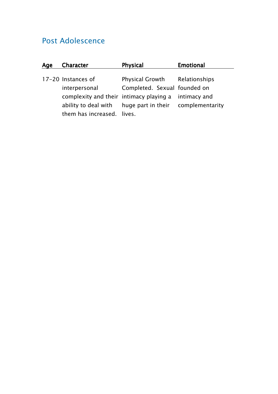## Post Adolescence

| Age | <b>Character</b>                                        | <b>Physical</b>              | <b>Emotional</b> |
|-----|---------------------------------------------------------|------------------------------|------------------|
|     |                                                         |                              |                  |
|     | 17-20 Instances of                                      | Physical Growth              | Relationships    |
|     | interpersonal                                           | Completed. Sexual founded on |                  |
|     | complexity and their intimacy playing a                 |                              | intimacy and     |
|     | ability to deal with huge part in their complementarity |                              |                  |
|     | them has increased. lives.                              |                              |                  |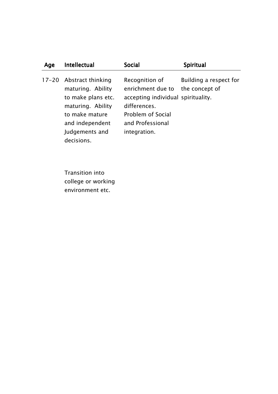| Age       | Intellectual                                                                                                                                           | <b>Social</b>                                                                                                                                      | Spiritual                                |
|-----------|--------------------------------------------------------------------------------------------------------------------------------------------------------|----------------------------------------------------------------------------------------------------------------------------------------------------|------------------------------------------|
| $17 - 20$ | Abstract thinking<br>maturing. Ability<br>to make plans etc.<br>maturing. Ability<br>to make mature<br>and independent<br>Judgements and<br>decisions. | Recognition of<br>enrichment due to<br>accepting individual spirituality.<br>differences.<br>Problem of Social<br>and Professional<br>integration. | Building a respect for<br>the concept of |

Transition into college or working environment etc.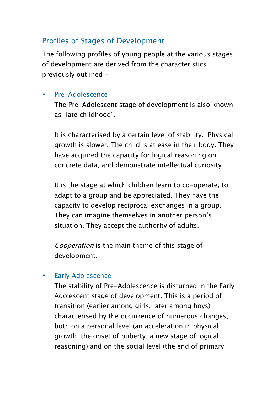## Profiles of Stages of Development

The following profiles of young people at the various stages of development are derived from the characteristics previously outlined –

#### • Pre-Adolescence

The Pre-Adolescent stage of development is also known as "late childhood".

It is characterised by a certain level of stability. Physical growth is slower. The child is at ease in their body. They have acquired the capacity for logical reasoning on concrete data, and demonstrate intellectual curiosity.

It is the stage at which children learn to co-operate, to adapt to a group and be appreciated. They have the capacity to develop reciprocal exchanges in a group. They can imagine themselves in another person's situation. They accept the authority of adults.

Cooperation is the main theme of this stage of development.

### • Early Adolescence

The stability of Pre-Adolescence is disturbed in the Early Adolescent stage of development. This is a period of transition (earlier among girls, later among boys) characterised by the occurrence of numerous changes, both on a personal level (an acceleration in physical growth, the onset of puberty, a new stage of logical reasoning) and on the social level (the end of primary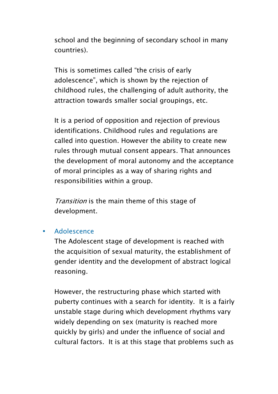school and the beginning of secondary school in many countries).

This is sometimes called "the crisis of early adolescence", which is shown by the rejection of childhood rules, the challenging of adult authority, the attraction towards smaller social groupings, etc.

It is a period of opposition and rejection of previous identifications. Childhood rules and regulations are called into question. However the ability to create new rules through mutual consent appears. That announces the development of moral autonomy and the acceptance of moral principles as a way of sharing rights and responsibilities within a group.

Transition is the main theme of this stage of development.

#### • Adolescence

The Adolescent stage of development is reached with the acquisition of sexual maturity, the establishment of gender identity and the development of abstract logical reasoning.

However, the restructuring phase which started with puberty continues with a search for identity. It is a fairly unstable stage during which development rhythms vary widely depending on sex (maturity is reached more quickly by girls) and under the influence of social and cultural factors. It is at this stage that problems such as